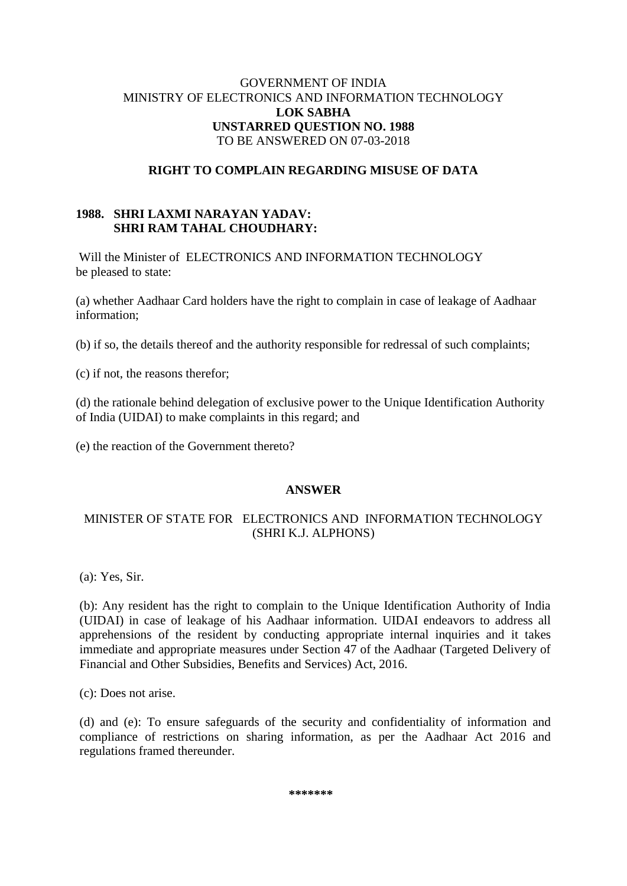### GOVERNMENT OF INDIA MINISTRY OF ELECTRONICS AND INFORMATION TECHNOLOGY **LOK SABHA UNSTARRED QUESTION NO. 1988** TO BE ANSWERED ON 07-03-2018

### **RIGHT TO COMPLAIN REGARDING MISUSE OF DATA**

## **1988. SHRI LAXMI NARAYAN YADAV: SHRI RAM TAHAL CHOUDHARY:**

Will the Minister of ELECTRONICS AND INFORMATION TECHNOLOGY be pleased to state:

(a) whether Aadhaar Card holders have the right to complain in case of leakage of Aadhaar information;

(b) if so, the details thereof and the authority responsible for redressal of such complaints;

(c) if not, the reasons therefor;

(d) the rationale behind delegation of exclusive power to the Unique Identification Authority of India (UIDAI) to make complaints in this regard; and

(e) the reaction of the Government thereto?

#### **ANSWER**

# MINISTER OF STATE FOR ELECTRONICS AND INFORMATION TECHNOLOGY (SHRI K.J. ALPHONS)

(a): Yes, Sir.

(b): Any resident has the right to complain to the Unique Identification Authority of India (UIDAI) in case of leakage of his Aadhaar information. UIDAI endeavors to address all apprehensions of the resident by conducting appropriate internal inquiries and it takes immediate and appropriate measures under Section 47 of the Aadhaar (Targeted Delivery of Financial and Other Subsidies, Benefits and Services) Act, 2016.

(c): Does not arise.

(d) and (e): To ensure safeguards of the security and confidentiality of information and compliance of restrictions on sharing information, as per the Aadhaar Act 2016 and regulations framed thereunder.

**\*\*\*\*\*\*\***